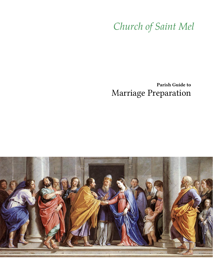# Church of Saint Mel

# Parish Guide to Marriage Preparation

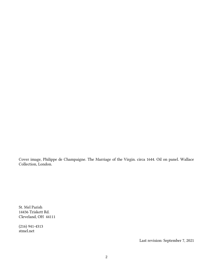Cover image, Philippe de Champaigne. The Marriage of the Virgin. circa 1644. Oil on panel. Wallace Collection, London.

St. Mel Parish 14436 Triskett Rd. Cleveland, OH 44111

(216) 941-4313 stmel.net

Last revision: September 7, 2021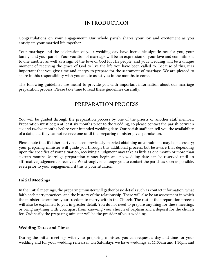## INTRODUCTION

Congratulations on your engagement! Our whole parish shares your joy and excitement as you anticipate your married life together.

Your marriage and the celebration of your wedding day have incredible significance for you, your family, and your parish. Your vocation of marriage will be an expression of your love and commitment to one another as well as a sign of the love of God for His people, and your wedding will be a unique moment of receiving the grace of God to live the life you have been called to. Because of this, it is important that you give time and energy to prepare for the sacrament of marriage. We are pleased to share in this responsibility with you and to assist you in the months to come.

The following guidelines are meant to provide you with important information about our marriage preparation process. Please take time to read these guidelines carefully.

# PREPARATION PROCESS

You will be guided through the preparation process by one of the priests or another staff member. Preparation must begin at least six months prior to the wedding, so please contact the parish between six and twelve months before your intended wedding date. Our parish staff can tell you the availability of a date, but they cannot reserve one until the preparing minister gives permission.

Please note that if either party has been previously married obtaining an annulment may be necessary; your preparing minister will guide you through this additional process, but be aware that depending upon the specifics of your situation, receiving a judgment may take as little as one month or more than sixteen months. Marriage preparation cannot begin and no wedding date can be reserved until an affirmative judgement is received. We strongly encourage you to contact the parish as soon as possible, even prior to your engagement, if this is your situation.

#### **Initial Meetings**

In the initial meetings, the preparing minister will gather basic details such as contact information, what faith each party practices, and the history of the relationship. There will also be an assessment in which the minister determines your freedom to marry within the Church. The rest of the preparation process will also be explained to you in greater detail. You do not need to prepare anything for these meetings or bring anything with you, apart from knowing your church of baptism and a deposit for the church fee. Ordinarily the preparing minister will be the presider of your wedding.

#### **Wedding Dates and Times**

During the initial meetings with your preparing minister, you can request a day and time for your wedding and for your wedding rehearsal. On Saturdays we have weddings at 11:00am and 1:30pm and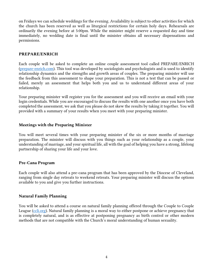on Fridays we can schedule weddings for the evening. Availability is subject to other activities for which the church has been reserved as well as liturgical restrictions for certain holy days. Rehearsals are ordinarily the evening before at 5:00pm. While the minister might reserve a requested day and time immediately, no wedding date is final until the minister obtains all necessary dispensations and permissions.

#### **PREPARE/ENRICH**

Each couple will be asked to complete an online couple assessment tool called PREPARE/ENRICH [\(prepare-enrich.com\)](https://www.prepare-enrich.com/). This tool was developed by sociologists and psychologists and is used to identify relationship dynamics and the strengths and growth areas of couples. The preparing minister will use the feedback from this assessment to shape your preparation. This is not a test that can be passed or failed, merely an assessment that helps both you and us to understand different areas of your relationship.

Your preparing minister will register you for the assessment and you will receive an email with your login credentials. While you are encouraged to discuss the results with one another once you have both completed the assessment, we ask that you please do not skew the results by taking it together. You will provided with a summary of your results when you meet with your preparing minister.

#### **Meetings with the Preparing Minister**

You will meet several times with your preparing minister of the six or more months of marriage preparation. The minister will discuss with you things such as your relationship as a couple, your understanding of marriage, and your spiritual life, all with the goal of helping you have a strong, lifelong partnership of sharing your life and your love.

#### **Pre-Cana Program**

Each couple will also attend a pre-cana program that has been approved by the Diocese of Cleveland, ranging from single day retreats to weekend retreats. Your preparing minister will discuss the options available to you and give you further instructions.

#### **Natural Family Planning**

You will be asked to attend a course on natural family planning offered through the Couple to Couple League [\(ccli.org\)](https://ccli.org/). Natural family planning is a moral way to either postpone or achieve pregnancy that is completely natural, and is as effective at postponing pregnancy as birth control or other modern methods that are not compatible with the Church's moral understanding of human sexuality.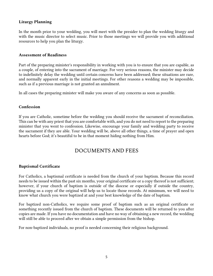#### **Liturgy Planning**

In the month prior to your wedding, you will meet with the presider to plan the wedding liturgy and with the music director to select music. Prior to those meetings we will provide you with additional resources to help you plan the liturgy.

#### **Assessment of Readiness**

Part of the preparing minister's responsibility in working with you is to ensure that you are capable, as a couple, of entering into the sacrament of marriage. For very serious reasons, the minister may decide to indefinitely delay the wedding until certain concerns have been addressed; these situations are rare, and normally apparent early in the initial meetings. For other reasons a wedding may be impossible, such as if a previous marriage is not granted an annulment.

In all cases the preparing minister will make you aware of any concerns as soon as possible.

#### **Confession**

If you are Catholic, sometime before the wedding you should receive the sacrament of reconciliation. This can be with any priest that you are comfortable with, and you do not need to report to the preparing minister that you went to confession. Likewise, encourage your family and wedding party to receive the sacrament if they are able. Your wedding will be, above all other things, a time of prayer and open hearts before God; it's beautiful to be in that moment hiding nothing from Him.

## DOCUMENTS AND FEES

#### **Baptismal Certificate**

For Catholics, a baptismal certificate is needed from the church of your baptism. Because this record needs to be issued within the past six months, your original certificate or a copy thereof is not sufficient; however, if your church of baptism is outside of the diocese or especially if outside the country, providing us a copy of the original will help us to locate those records. At minimum, we will need to know what church you were baptized at and your best knowledge of the date of baptism.

For baptized non-Catholics, we require some proof of baptism such as an original certificate or something recently issued from the church of baptism. These documents will be returned to you after copies are made. If you have no documentation and have no way of obtaining a new record, the wedding will still be able to proceed after we obtain a simple permission from the bishop.

For non-baptized individuals, no proof is needed concerning their religious background.